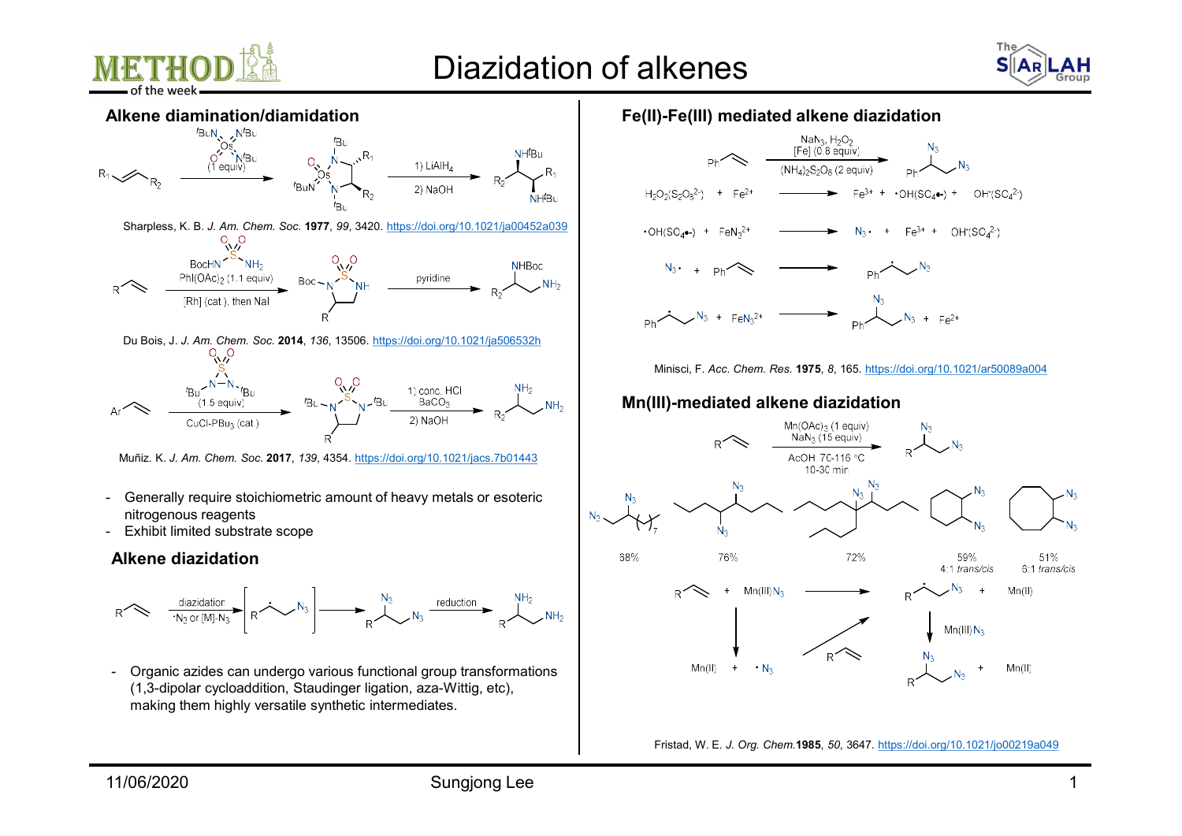





Muñiz. K. J. Am. Chem. Soc. 2017, 139, 4354. https://doi.org/10.1021/jacs.7b01443

- nitrogenous reagents
- 

### Alkene diazidation



(1,3-dipolar cycloaddition, Staudinger ligation, aza-Wittig, etc), making them highly versatile synthetic intermediates.

# Fe(II)-Fe(III) mediated alkene diazidation



Minisci, F. Acc. Chem. Res. 1975, 8, 165. https://doi.org/10.1021/ar50089a004

## Mn(III)-mediated alkene diazidation



Fristad, W. E. J. Org. Chem.1985, 50, 3647. https://doi.org/10.1021/jo00219a049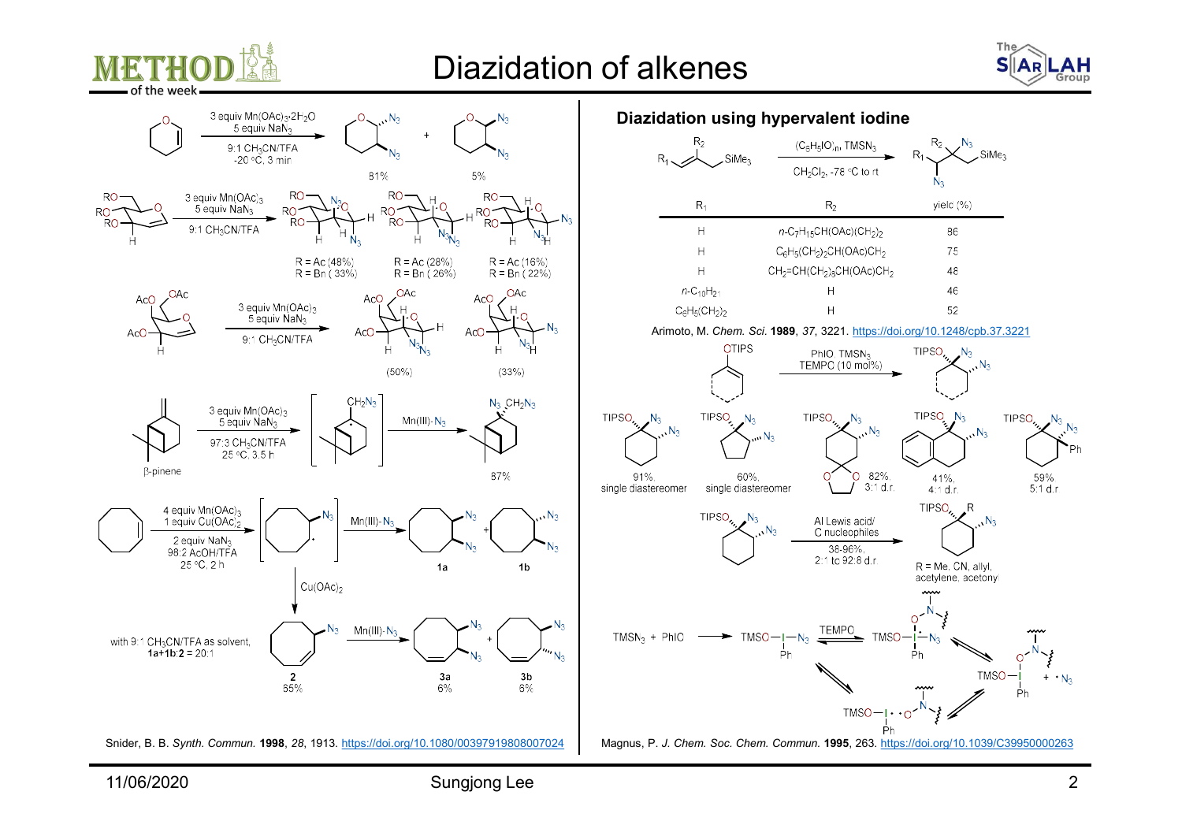



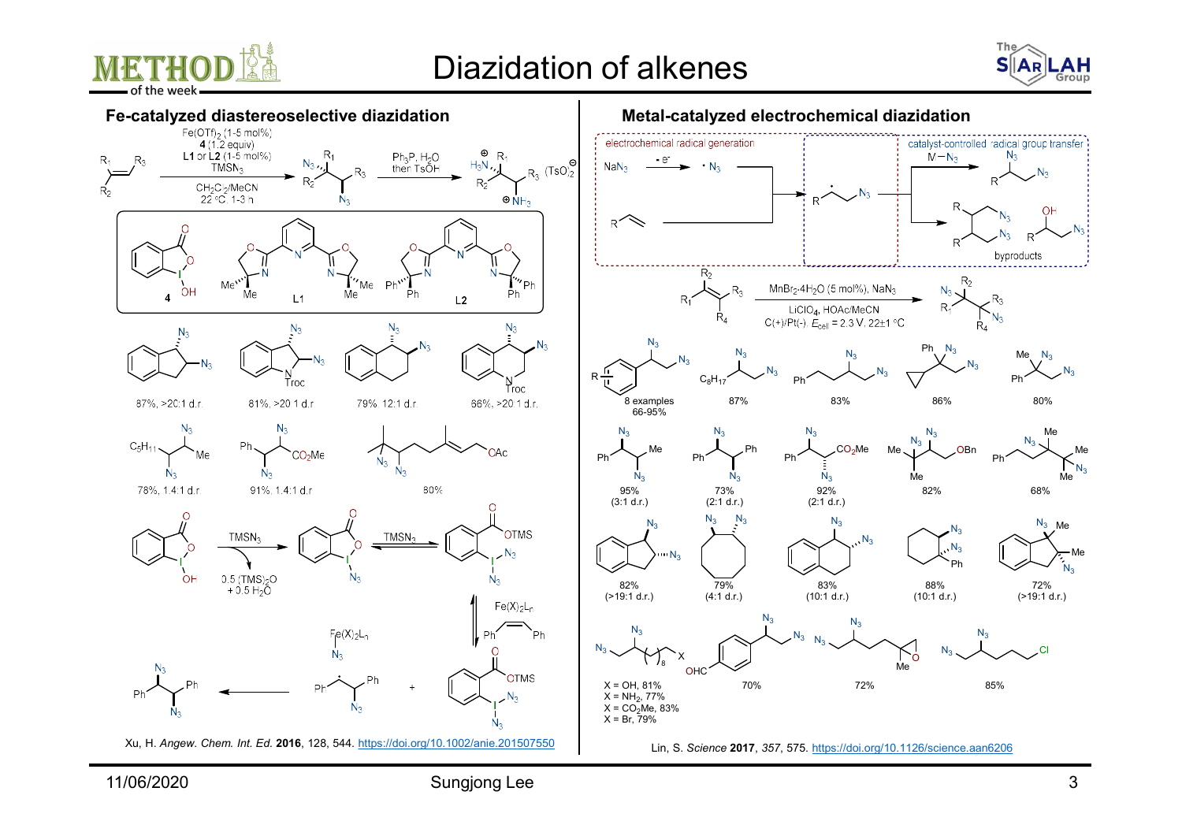